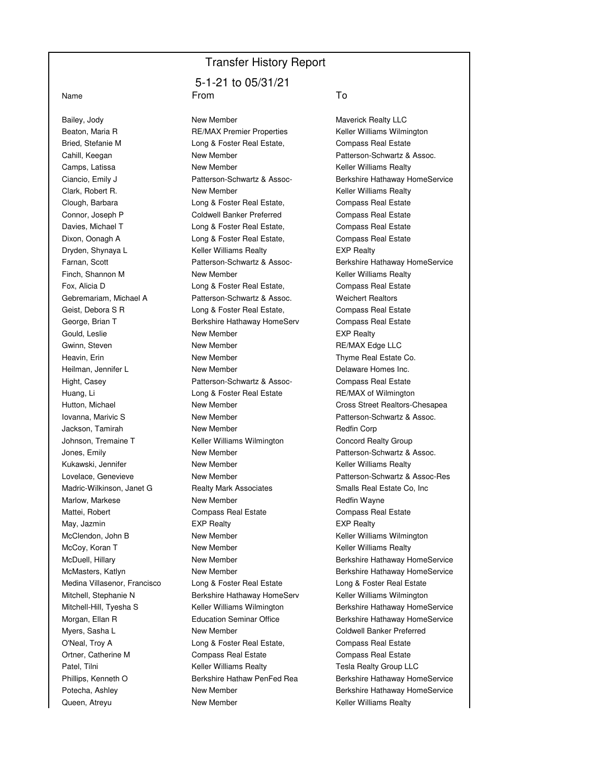## Transfer History Report

Bailey, Jody **New Member** New Member Mayerick Realty LLC Queen, Atreyu **New Member** New Member **New Keller Williams Realty** 

## 5-1-21 to 05/31/21 Name From To

Beaton, Maria R **RE/MAX Premier Properties** Keller Williams Wilmington Bried, Stefanie M **Long & Foster Real Estate,** Compass Real Estate Cahill, Keegan New Member New Hember Patterson-Schwartz & Assoc. Camps, Latissa **New Member** New Member **Keller Williams Realty** Clark, Robert R. New Member **New Member** Keller Williams Realty Clough, Barbara Long & Foster Real Estate, Compass Real Estate Connor, Joseph P Coldwell Banker Preferred Compass Real Estate Davies, Michael T **Long & Foster Real Estate,** Compass Real Estate Dixon, Oonagh A Long & Foster Real Estate, Compass Real Estate Dryden, Shynaya L Keller Williams Realty EXP Realty Finch, Shannon M **New Member** New Member **Keller Williams Realty** Fox, Alicia D **Long & Foster Real Estate,** Compass Real Estate Gebremariam, Michael A **Patterson-Schwartz & Assoc.** Weichert Realtors Geist, Debora S R Long & Foster Real Estate, Compass Real Estate George, Brian T **Berkshire Hathaway HomeServ** Compass Real Estate Gould, Leslie **New Member** New Member **New Member** EXP Realty Gwinn, Steven **New Member** New Member **New Member** RE/MAX Edge LLC Heavin, Erin **New Member** New Member **New York Co.** Thyme Real Estate Co. Heilman, Jennifer L New Member Delaware Homes Inc. Hight, Casey **Patterson-Schwartz & Assoc-** Compass Real Estate Huang, Li Long & Foster Real Estate RE/MAX of Wilmington Iovanna, Marivic S<br>
New Member **New Strates and Accord Patterson-Schwartz & Assoc.** Jackson, Tamirah **New Member** New Member **New York Communist Redfin Corp** Johnson, Tremaine T **Keller Williams Wilmington** Concord Realty Group Jones, Emily **New Member** New Member **Patterson-Schwartz & Assoc.** Kukawski, Jennifer **New Member** New Member **Keller Williams Realty** Madric-Wilkinson, Janet G **Realty Mark Associates** Smalls Real Estate Co, Inc Marlow, Markese **New Member** New Member **New York Account Account Account** Redfin Wayne Mattei, Robert Compass Real Estate Compass Real Estate May, Jazmin **EXP Realty** EXP Realty **EXP Realty** EXP Realty McClendon, John B **New Member** New Member Keller Williams Wilmington McCoy, Koran T **New Member** New Member **Keller Williams Realty** Medina Villasenor, Francisco Long & Foster Real Estate Long & Foster Real Estate Mitchell, Stephanie N Berkshire Hathaway HomeServ Keller Williams Wilmington Myers, Sasha L **New Member** New Member Coldwell Banker Preferred O'Neal, Troy A Long & Foster Real Estate, Compass Real Estate Ortner, Catherine M Compass Real Estate Compass Real Estate Patel, Tilni **Example 26 Keller Williams Realty Tesla Realty Group LLC** 

Ciancio, Emily J Patterson-Schwartz & Assoc- Berkshire Hathaway HomeService Farnan, Scott Patterson-Schwartz & Assoc- Berkshire Hathaway HomeService Hutton, Michael **New Member** New Member Cross Street Realtors-Chesapea Lovelace, Genevieve New Member Patterson-Schwartz & Assoc-Res McDuell, Hillary **New Member New Member Berkshire Hathaway HomeService New Member Berkshire Hathaway HomeService** McMasters, Katlyn **New Member** New Member **Berkshire Hathaway HomeService** Mitchell-Hill, Tyesha S Keller Williams Wilmington Berkshire Hathaway HomeService Morgan, Ellan R **Education Seminar Office** Berkshire Hathaway HomeService Phillips, Kenneth O **Berkshire Hathaw PenFed Rea** Berkshire Hathaway HomeService Potecha, Ashley **New Member** New Member Berkshire Hathaway HomeService